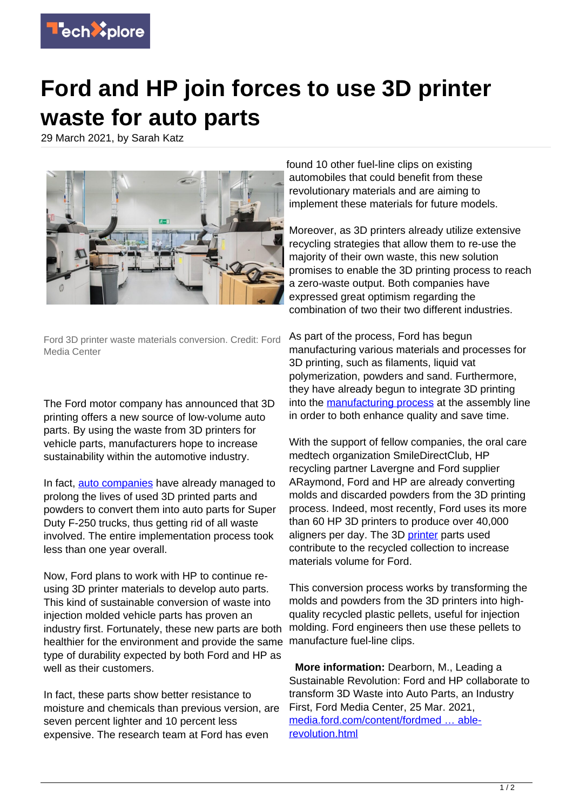

## **Ford and HP join forces to use 3D printer waste for auto parts**

29 March 2021, by Sarah Katz



Ford 3D printer waste materials conversion. Credit: Ford Media Center

The Ford motor company has announced that 3D printing offers a new source of low-volume auto parts. By using the waste from 3D printers for vehicle parts, manufacturers hope to increase sustainability within the automotive industry.

In fact, [auto companies](https://techxplore.com/tags/auto+companies/) have already managed to prolong the lives of used 3D printed parts and powders to convert them into auto parts for Super Duty F-250 trucks, thus getting rid of all waste involved. The entire implementation process took less than one year overall.

Now, Ford plans to work with HP to continue reusing 3D printer materials to develop auto parts. This kind of sustainable conversion of waste into injection molded vehicle parts has proven an industry first. Fortunately, these new parts are both healthier for the environment and provide the same type of durability expected by both Ford and HP as well as their customers.

In fact, these parts show better resistance to moisture and chemicals than previous version, are seven percent lighter and 10 percent less expensive. The research team at Ford has even

found 10 other fuel-line clips on existing automobiles that could benefit from these revolutionary materials and are aiming to implement these materials for future models.

Moreover, as 3D printers already utilize extensive recycling strategies that allow them to re-use the majority of their own waste, this new solution promises to enable the 3D printing process to reach a zero-waste output. Both companies have expressed great optimism regarding the combination of two their two different industries.

As part of the process, Ford has begun manufacturing various materials and processes for 3D printing, such as filaments, liquid vat polymerization, powders and sand. Furthermore, they have already begun to integrate 3D printing into the [manufacturing process](https://techxplore.com/tags/manufacturing+process/) at the assembly line in order to both enhance quality and save time.

With the support of fellow companies, the oral care medtech organization SmileDirectClub, HP recycling partner Lavergne and Ford supplier ARaymond, Ford and HP are already converting molds and discarded powders from the 3D printing process. Indeed, most recently, Ford uses its more than 60 HP 3D printers to produce over 40,000 aligners per day. The 3D [printer](https://techxplore.com/tags/printer/) parts used contribute to the recycled collection to increase materials volume for Ford.

This conversion process works by transforming the molds and powders from the 3D printers into highquality recycled plastic pellets, useful for injection molding. Ford engineers then use these pellets to manufacture fuel-line clips.

 **More information:** Dearborn, M., Leading a Sustainable Revolution: Ford and HP collaborate to transform 3D Waste into Auto Parts, an Industry First, Ford Media Center, 25 Mar. 2021, [media.ford.com/content/fordmed … able](https://media.ford.com/content/fordmedia/fna/us/en/news/2021/03/25/leading-a-sustainable-revolution.html)[revolution.html](https://media.ford.com/content/fordmedia/fna/us/en/news/2021/03/25/leading-a-sustainable-revolution.html)